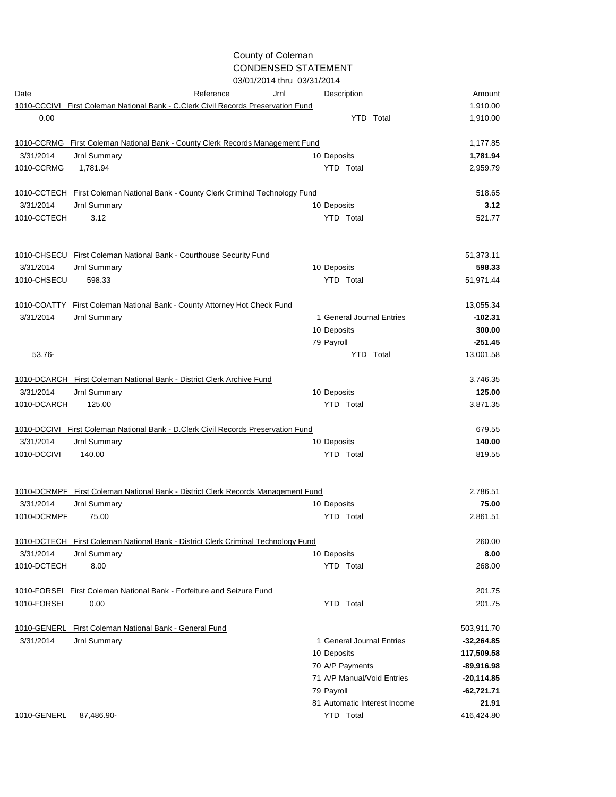## County of Coleman CONDENSED STATEMENT 03/01/2014 thru 03/31/2014

|             | U3/U1/2014 INTU U3/31/2014                                                        |                              |              |  |  |
|-------------|-----------------------------------------------------------------------------------|------------------------------|--------------|--|--|
| Date        | Reference<br>Jrnl                                                                 | Description                  | Amount       |  |  |
|             | 1010-CCCIVI First Coleman National Bank - C.Clerk Civil Records Preservation Fund |                              | 1,910.00     |  |  |
| 0.00        |                                                                                   | YTD Total                    | 1,910.00     |  |  |
|             | 1010-CCRMG First Coleman National Bank - County Clerk Records Management Fund     |                              | 1,177.85     |  |  |
| 3/31/2014   | Jrnl Summary                                                                      | 10 Deposits                  | 1,781.94     |  |  |
| 1010-CCRMG  | 1,781.94                                                                          | YTD Total                    | 2,959.79     |  |  |
|             | 1010-CCTECH First Coleman National Bank - County Clerk Criminal Technology Fund   |                              | 518.65       |  |  |
| 3/31/2014   | Jrnl Summary                                                                      | 10 Deposits                  | 3.12         |  |  |
| 1010-CCTECH | 3.12                                                                              | YTD Total                    | 521.77       |  |  |
|             | 1010-CHSECU First Coleman National Bank - Courthouse Security Fund                |                              | 51,373.11    |  |  |
| 3/31/2014   | Jrnl Summary                                                                      | 10 Deposits                  | 598.33       |  |  |
| 1010-CHSECU | 598.33                                                                            | YTD Total                    | 51,971.44    |  |  |
| 1010-COATTY | First Coleman National Bank - County Attorney Hot Check Fund                      |                              | 13,055.34    |  |  |
| 3/31/2014   | Jrnl Summary                                                                      | 1 General Journal Entries    | $-102.31$    |  |  |
|             |                                                                                   | 10 Deposits                  | 300.00       |  |  |
|             |                                                                                   | 79 Payroll                   | $-251.45$    |  |  |
| 53.76-      |                                                                                   | YTD Total                    | 13,001.58    |  |  |
|             | 1010-DCARCH First Coleman National Bank - District Clerk Archive Fund             |                              | 3,746.35     |  |  |
| 3/31/2014   | Jrnl Summary                                                                      | 10 Deposits                  | 125.00       |  |  |
| 1010-DCARCH | 125.00                                                                            | YTD Total                    | 3,871.35     |  |  |
|             | 1010-DCCIVI First Coleman National Bank - D.Clerk Civil Records Preservation Fund |                              | 679.55       |  |  |
| 3/31/2014   | Jrnl Summary                                                                      | 10 Deposits                  | 140.00       |  |  |
| 1010-DCCIVI | 140.00                                                                            | YTD Total                    | 819.55       |  |  |
|             | 1010-DCRMPF First Coleman National Bank - District Clerk Records Management Fund  |                              | 2,786.51     |  |  |
| 3/31/2014   | Jrnl Summary                                                                      | 10 Deposits                  | 75.00        |  |  |
| 1010-DCRMPF | 75.00                                                                             | <b>YTD</b> Total             | 2,861.51     |  |  |
|             | 1010-DCTECH First Coleman National Bank - District Clerk Criminal Technology Fund |                              | 260.00       |  |  |
| 3/31/2014   | Jrnl Summary                                                                      | 10 Deposits                  | 8.00         |  |  |
| 1010-DCTECH | 8.00                                                                              | YTD Total                    | 268.00       |  |  |
|             | 1010-FORSEI First Coleman National Bank - Forfeiture and Seizure Fund             |                              | 201.75       |  |  |
| 1010-FORSEI | 0.00                                                                              | YTD Total                    | 201.75       |  |  |
|             | 1010-GENERL First Coleman National Bank - General Fund                            |                              | 503,911.70   |  |  |
| 3/31/2014   | Jrnl Summary                                                                      | 1 General Journal Entries    | $-32,264.85$ |  |  |
|             |                                                                                   | 10 Deposits                  | 117,509.58   |  |  |
|             |                                                                                   | 70 A/P Payments              | $-89,916.98$ |  |  |
|             |                                                                                   | 71 A/P Manual/Void Entries   | $-20,114.85$ |  |  |
|             |                                                                                   | 79 Payroll                   | $-62,721.71$ |  |  |
|             |                                                                                   | 81 Automatic Interest Income | 21.91        |  |  |
| 1010-GENERL | 87,486.90-                                                                        | YTD Total                    | 416,424.80   |  |  |
|             |                                                                                   |                              |              |  |  |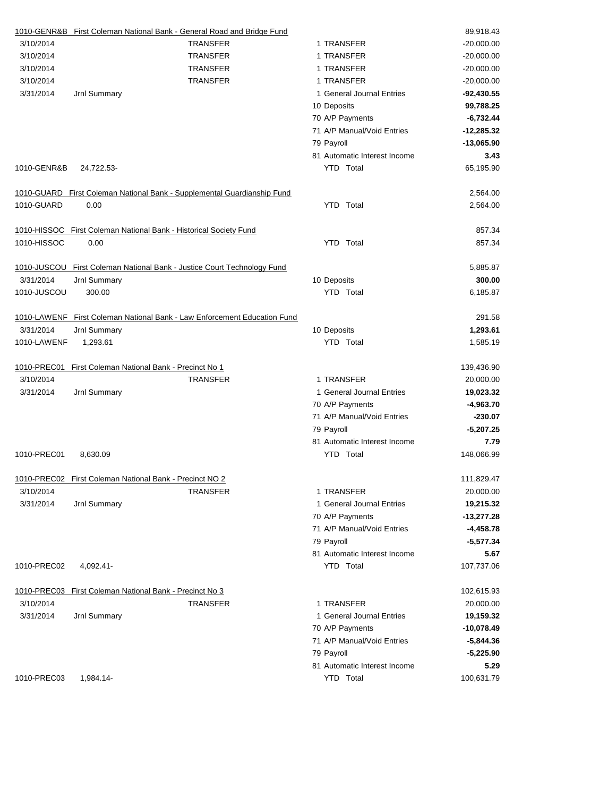|             | 1010-GENR&B First Coleman National Bank - General Road and Bridge Fund   |                              | 89,918.43    |
|-------------|--------------------------------------------------------------------------|------------------------------|--------------|
| 3/10/2014   | <b>TRANSFER</b>                                                          | 1 TRANSFER                   | $-20,000.00$ |
| 3/10/2014   | <b>TRANSFER</b>                                                          | 1 TRANSFER                   | $-20,000.00$ |
| 3/10/2014   | <b>TRANSFER</b>                                                          | 1 TRANSFER                   | $-20,000.00$ |
| 3/10/2014   | <b>TRANSFER</b>                                                          | 1 TRANSFER                   | $-20,000.00$ |
| 3/31/2014   | Jrnl Summary                                                             | 1 General Journal Entries    | $-92,430.55$ |
|             |                                                                          | 10 Deposits                  | 99,788.25    |
|             |                                                                          | 70 A/P Payments              | $-6,732.44$  |
|             |                                                                          | 71 A/P Manual/Void Entries   | $-12,285.32$ |
|             |                                                                          | 79 Payroll                   | $-13,065.90$ |
|             |                                                                          | 81 Automatic Interest Income | 3.43         |
| 1010-GENR&B | 24,722.53-                                                               | <b>YTD</b> Total             | 65,195.90    |
|             | 1010-GUARD First Coleman National Bank - Supplemental Guardianship Fund  |                              | 2,564.00     |
| 1010-GUARD  | 0.00                                                                     | YTD Total                    | 2,564.00     |
|             | 1010-HISSOC First Coleman National Bank - Historical Society Fund        |                              | 857.34       |
| 1010-HISSOC | 0.00                                                                     | YTD Total                    | 857.34       |
|             | 1010-JUSCOU First Coleman National Bank - Justice Court Technology Fund  |                              | 5,885.87     |
| 3/31/2014   | Jrnl Summary                                                             | 10 Deposits                  | 300.00       |
| 1010-JUSCOU | 300.00                                                                   | YTD Total                    | 6,185.87     |
|             | 1010-LAWENF First Coleman National Bank - Law Enforcement Education Fund |                              | 291.58       |
| 3/31/2014   | <b>Jrnl Summary</b>                                                      | 10 Deposits                  | 1,293.61     |
| 1010-LAWENF | 1,293.61                                                                 | <b>YTD</b> Total             | 1,585.19     |
| 1010-PREC01 | First Coleman National Bank - Precinct No 1                              |                              | 139,436.90   |
| 3/10/2014   | <b>TRANSFER</b>                                                          | 1 TRANSFER                   | 20,000.00    |
| 3/31/2014   | Jrnl Summary                                                             | 1 General Journal Entries    | 19,023.32    |
|             |                                                                          | 70 A/P Payments              | $-4,963.70$  |
|             |                                                                          | 71 A/P Manual/Void Entries   | $-230.07$    |
|             |                                                                          | 79 Payroll                   | $-5,207.25$  |
|             |                                                                          | 81 Automatic Interest Income | 7.79         |
| 1010-PREC01 | 8,630.09                                                                 | YTD Total                    | 148,066.99   |
|             | 1010-PREC02 First Coleman National Bank - Precinct NO 2                  |                              | 111,829.47   |
| 3/10/2014   | <b>TRANSFER</b>                                                          | 1 TRANSFER                   | 20,000.00    |
| 3/31/2014   | Jrnl Summary                                                             | 1 General Journal Entries    | 19,215.32    |
|             |                                                                          | 70 A/P Payments              | $-13,277.28$ |
|             |                                                                          | 71 A/P Manual/Void Entries   | $-4,458.78$  |
|             |                                                                          | 79 Payroll                   | $-5,577.34$  |
|             |                                                                          | 81 Automatic Interest Income | 5.67         |
| 1010-PREC02 | 4,092.41-                                                                | YTD Total                    | 107,737.06   |
|             | 1010-PREC03 First Coleman National Bank - Precinct No 3                  |                              | 102,615.93   |
| 3/10/2014   | <b>TRANSFER</b>                                                          | 1 TRANSFER                   | 20,000.00    |
| 3/31/2014   | Jrnl Summary                                                             | 1 General Journal Entries    | 19,159.32    |
|             |                                                                          | 70 A/P Payments              | $-10,078.49$ |
|             |                                                                          | 71 A/P Manual/Void Entries   | $-5,844.36$  |
|             |                                                                          | 79 Payroll                   | $-5,225.90$  |
|             |                                                                          | 81 Automatic Interest Income | 5.29         |
| 1010-PREC03 | 1,984.14-                                                                | YTD Total                    | 100,631.79   |